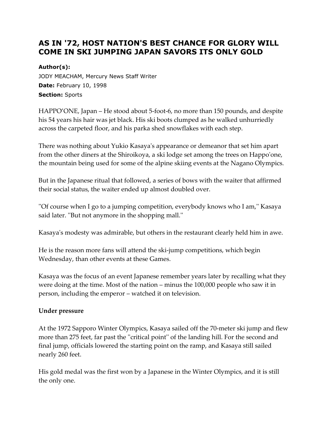# **AS IN '72, HOST NATION'S BEST CHANCE FOR GLORY WILL COME IN SKI JUMPING JAPAN SAVORS ITS ONLY GOLD**

### **Author(s):**

JODY MEACHAM, Mercury News Staff Writer **Date:** February 10, 1998 **Section:** Sports

HAPPO'ONE, Japan – He stood about 5-foot-6, no more than 150 pounds, and despite his 54 years his hair was jet black. His ski boots clumped as he walked unhurriedly across the carpeted floor, and his parka shed snowflakes with each step.

There was nothing about Yukio Kasaya's appearance or demeanor that set him apart from the other diners at the Shiroikoya, a ski lodge set among the trees on Happo'one, the mountain being used for some of the alpine skiing events at the Nagano Olympics.

But in the Japanese ritual that followed, a series of bows with the waiter that affirmed their social status, the waiter ended up almost doubled over.

''Of course when I go to a jumping competition, everybody knows who I am,'' Kasaya said later. ''But not anymore in the shopping mall.''

Kasaya's modesty was admirable, but others in the restaurant clearly held him in awe.

He is the reason more fans will attend the ski-jump competitions, which begin Wednesday, than other events at these Games.

Kasaya was the focus of an event Japanese remember years later by recalling what they were doing at the time. Most of the nation – minus the 100,000 people who saw it in person, including the emperor – watched it on television.

#### **Under pressure**

At the 1972 Sapporo Winter Olympics, Kasaya sailed off the 70-meter ski jump and flew more than 275 feet, far past the ''critical point'' of the landing hill. For the second and final jump, officials lowered the starting point on the ramp, and Kasaya still sailed nearly 260 feet.

His gold medal was the first won by a Japanese in the Winter Olympics, and it is still the only one.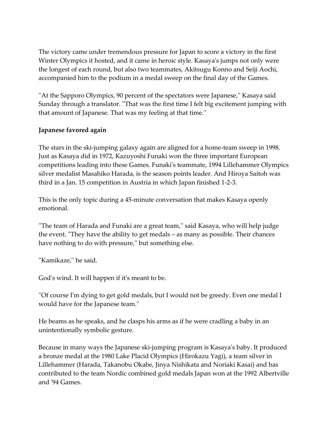The victory came under tremendous pressure for Japan to score a victory in the first Winter Olympics it hosted, and it came in heroic style. Kasaya's jumps not only were the longest of each round, but also two teammates, Akitsugu Konno and Seiji Aochi, accompanied him to the podium in a medal sweep on the final day of the Games.

''At the Sapporo Olympics, 90 percent of the spectators were Japanese,'' Kasaya said Sunday through a translator. ''That was the first time I felt big excitement jumping with that amount of Japanese. That was my feeling at that time.''

## **Japanese favored again**

The stars in the ski-jumping galaxy again are aligned for a home-team sweep in 1998. Just as Kasaya did in 1972, Kazuyoshi Funaki won the three important European competitions leading into these Games. Funaki's teammate, 1994 Lillehammer Olympics silver medalist Masahiko Harada, is the season points leader. And Hiroya Saitoh was third in a Jan. 15 competition in Austria in which Japan finished 1-2-3.

This is the only topic during a 45-minute conversation that makes Kasaya openly emotional.

''The team of Harada and Funaki are a great team,'' said Kasaya, who will help judge the event. ''They have the ability to get medals – as many as possible. Their chances have nothing to do with pressure," but something else.

''Kamikaze,'' he said.

God's wind. It will happen if it's meant to be.

''Of course I'm dying to get gold medals, but I would not be greedy. Even one medal I would have for the Japanese team.''

He beams as he speaks, and he clasps his arms as if he were cradling a baby in an unintentionally symbolic gesture.

Because in many ways the Japanese ski-jumping program is Kasaya's baby. It produced a bronze medal at the 1980 Lake Placid Olympics (Hirokazu Yagi), a team silver in Lillehammer (Harada, Takanobu Okabe, Jinya Nishikata and Noriaki Kasai) and has contributed to the team Nordic combined gold medals Japan won at the 1992 Albertville and '94 Games.